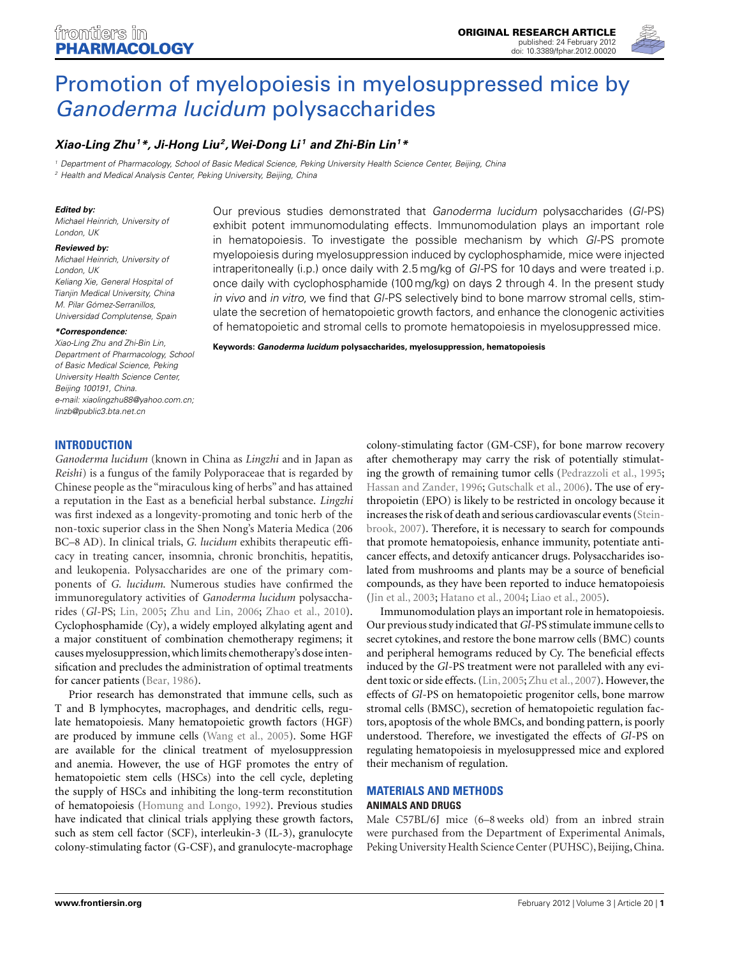

# [Promotion of myelopoiesis in myelosuppressed mice by](http://www.frontiersin.org/Ethnopharmacology/10.3389/fphar.2012.00020/abstract) Ganoderma lucidum polysaccharides

# *[Xiao-Ling Zhu1](http://www.frontiersin.org/Community/WhosWhoDetails.aspx?UID=43394&d=2&sname=Xiao_LingZhu&name=Medicine)\*, Ji-Hong Liu2,Wei-Dong Li <sup>1</sup> and [Zhi-Bin Lin](http://community.frontiersin.org/Community/WhosWhoActivity.aspx?UID=43396&sname=Zhi_BinLin)1\**

<sup>1</sup> Department of Pharmacology, School of Basic Medical Science, Peking University Health Science Center, Beijing, China <sup>2</sup> Health and Medical Analysis Center, Peking University, Beijing, China

#### *Edited by:*

Michael Heinrich, University of London, UK

#### *Reviewed by:*

Michael Heinrich, University of London, UK Keliang Xie, General Hospital of Tianiin Medical University, China M. Pilar Gómez-Serranillos, Universidad Complutense, Spain

#### *\*Correspondence:*

Xiao-Ling Zhu and Zhi-Bin Lin, Department of Pharmacology, School of Basic Medical Science, Peking University Health Science Center, Beijing 100191, China. e-mail: [xiaolingzhu88@yahoo.com.cn;](mailto:xiaolingzhu88@yahoo.com.cn) [linzb@public3.bta.net.cn](mailto:linzb@public3.bta.net.cn)

Our previous studies demonstrated that Ganoderma lucidum polysaccharides (GI-PS) exhibit potent immunomodulating effects. Immunomodulation plays an important role in hematopoiesis. To investigate the possible mechanism by which GI-PS promote myelopoiesis during myelosuppression induced by cyclophosphamide, mice were injected intraperitoneally (i.p.) once daily with 2.5 mg/kg of GI-PS for 10 days and were treated i.p. once daily with cyclophosphamide (100 mg/kg) on days 2 through 4. In the present study in vivo and in vitro, we find that GI-PS selectively bind to bone marrow stromal cells, stimulate the secretion of hematopoietic growth factors, and enhance the clonogenic activities of hematopoietic and stromal cells to promote hematopoiesis in myelosuppressed mice.

**Keywords:** *Ganoderma lucidum* **polysaccharides, myelosuppression, hematopoiesis**

## **INTRODUCTION**

*Ganoderma lucidum* (known in China as *Lingzhi* and in Japan as *Reishi*) is a fungus of the family Polyporaceae that is regarded by Chinese people as the "miraculous king of herbs" and has attained a reputation in the East as a beneficial herbal substance. *Lingzhi* was first indexed as a longevity-promoting and tonic herb of the non-toxic superior class in the Shen Nong's Materia Medica (206 BC–8 AD). In clinical trials, *G. lucidum* exhibits therapeutic efficacy in treating cancer, insomnia, chronic bronchitis, hepatitis, and leukopenia. Polysaccharides are one of the primary components of *G. lucidum*. Numerous studies have confirmed the immunoregulatory activities of *Ganoderma lucidum* polysaccharides (*Gl*-PS; [Lin, 2005;](#page-5-0) [Zhu and Lin, 2006](#page-6-0); [Zhao et al., 2010](#page-5-0)). Cyclophosphamide (Cy), a widely employed alkylating agent and a major constituent of combination chemotherapy regimens; it causes myelosuppression,which limits chemotherapy's dose intensification and precludes the administration of optimal treatments for cancer patients [\(Bear](#page-5-0), [1986\)](#page-5-0).

Prior research has demonstrated that immune cells, such as T and B lymphocytes, macrophages, and dendritic cells, regulate hematopoiesis. Many hematopoietic growth factors (HGF) are produced by immune cells [\(Wang et al., 2005](#page-5-0)). Some HGF are available for the clinical treatment of myelosuppression and anemia. However, the use of HGF promotes the entry of hematopoietic stem cells (HSCs) into the cell cycle, depleting the supply of HSCs and inhibiting the long-term reconstitution of hematopoiesis [\(Homung and Longo](#page-5-0), [1992](#page-5-0)). Previous studies have indicated that clinical trials applying these growth factors, such as stem cell factor (SCF), interleukin-3 (IL-3), granulocyte colony-stimulating factor (G-CSF), and granulocyte-macrophage

colony-stimulating factor (GM-CSF), for bone marrow recovery after chemotherapy may carry the risk of potentially stimulating the growth of remaining tumor cells [\(Pedrazzoli et al., 1995;](#page-5-0) [Hassan and Zander, 1996](#page-5-0); [Gutschalk et al., 2006](#page-5-0)). The use of erythropoietin (EPO) is likely to be restricted in oncology because it incre[ases the risk of death and serious cardiovascular events \(](#page-5-0)Steinbrook, [2007\)](#page-5-0). Therefore, it is necessary to search for compounds that promote hematopoiesis, enhance immunity, potentiate anticancer effects, and detoxify anticancer drugs. Polysaccharides isolated from mushrooms and plants may be a source of beneficial compounds, as they have been reported to induce hematopoiesis [\(Jin et al., 2003;](#page-5-0) [Hatano et al., 2004](#page-5-0); [Liao et al.](#page-5-0), [2005](#page-5-0)).

Immunomodulation plays an important role in hematopoiesis. Our previous study indicated that*Gl*-PS stimulate immune cells to secret cytokines, and restore the bone marrow cells (BMC) counts and peripheral hemograms reduced by Cy. The beneficial effects induced by the *Gl*-PS treatment were not paralleled with any evident toxic or side effects. [\(Lin, 2005;](#page-5-0) [Zhu et al.](#page-6-0), [2007\)](#page-6-0). However, the effects of *Gl*-PS on hematopoietic progenitor cells, bone marrow stromal cells (BMSC), secretion of hematopoietic regulation factors, apoptosis of the whole BMCs, and bonding pattern, is poorly understood. Therefore, we investigated the effects of *Gl*-PS on regulating hematopoiesis in myelosuppressed mice and explored their mechanism of regulation.

## **MATERIALS AND METHODS ANIMALS AND DRUGS**

Male C57BL/6J mice (6–8 weeks old) from an inbred strain were purchased from the Department of Experimental Animals, Peking University Health Science Center (PUHSC), Beijing, China.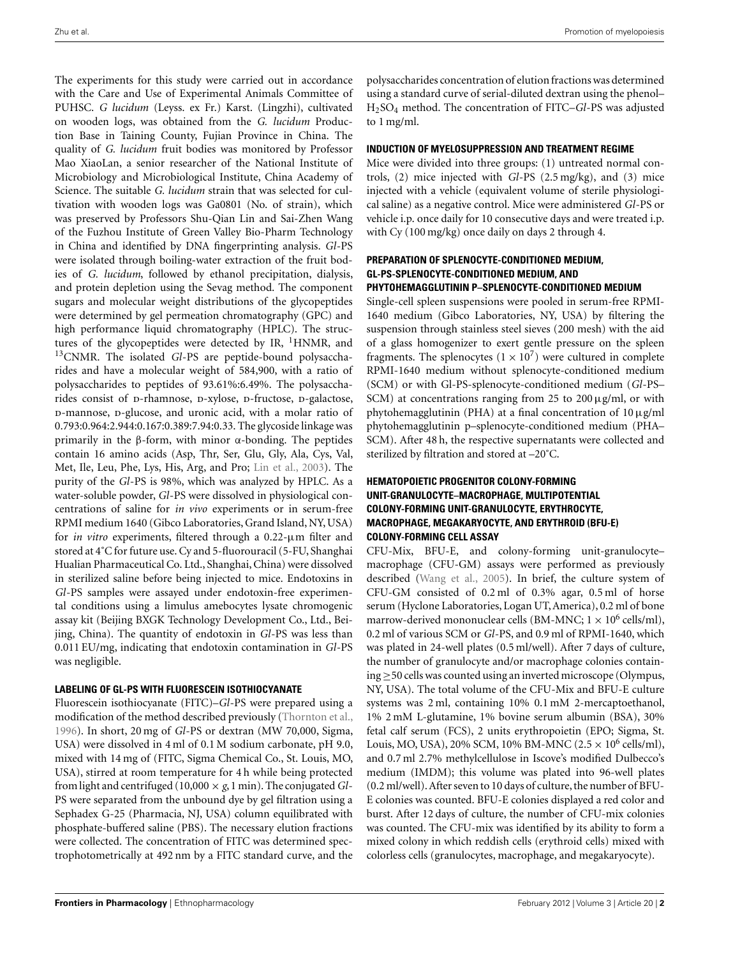The experiments for this study were carried out in accordance with the Care and Use of Experimental Animals Committee of PUHSC. *G lucidum* (Leyss. ex Fr.) Karst. (Lingzhi), cultivated on wooden logs, was obtained from the *G. lucidum* Production Base in Taining County, Fujian Province in China. The quality of *G. lucidum* fruit bodies was monitored by Professor Mao XiaoLan, a senior researcher of the National Institute of Microbiology and Microbiological Institute, China Academy of Science. The suitable *G. lucidum* strain that was selected for cultivation with wooden logs was Ga0801 (No. of strain), which was preserved by Professors Shu-Qian Lin and Sai-Zhen Wang of the Fuzhou Institute of Green Valley Bio-Pharm Technology in China and identified by DNA fingerprinting analysis. *Gl*-PS were isolated through boiling-water extraction of the fruit bodies of *G. lucidum*, followed by ethanol precipitation, dialysis, and protein depletion using the Sevag method. The component sugars and molecular weight distributions of the glycopeptides were determined by gel permeation chromatography (GPC) and high performance liquid chromatography (HPLC). The structures of the glycopeptides were detected by IR,  $^1$ HNMR, and 13CNMR. The isolated *Gl*-PS are peptide-bound polysaccharides and have a molecular weight of 584,900, with a ratio of polysaccharides to peptides of 93.61%:6.49%. The polysaccharides consist of p-rhamnose, p-xylose, p-fructose, p-galactose, p-mannose, p-glucose, and uronic acid, with a molar ratio of 0.793:0.964:2.944:0.167:0.389:7.94:0.33. The glycoside linkage was primarily in the β-form, with minor α-bonding. The peptides contain 16 amino acids (Asp, Thr, Ser, Glu, Gly, Ala, Cys, Val, Met, Ile, Leu, Phe, Lys, His, Arg, and Pro; [Lin et al., 2003](#page-5-0)). The purity of the *Gl*-PS is 98%, which was analyzed by HPLC. As a water-soluble powder, *Gl*-PS were dissolved in physiological concentrations of saline for *in vivo* experiments or in serum-free RPMI medium 1640 (Gibco Laboratories, Grand Island, NY, USA) for *in vitro* experiments, filtered through a 0.22-μm filter and stored at 4˚C for future use. Cy and 5-fluorouracil (5-FU, Shanghai Hualian Pharmaceutical Co. Ltd., Shanghai, China) were dissolved in sterilized saline before being injected to mice. Endotoxins in *Gl*-PS samples were assayed under endotoxin-free experimental conditions using a limulus amebocytes lysate chromogenic assay kit (Beijing BXGK Technology Development Co., Ltd., Beijing, China). The quantity of endotoxin in *Gl*-PS was less than 0.011 EU/mg, indicating that endotoxin contamination in *Gl*-PS was negligible.

## **LABELING OF GL-PS WITH FLUORESCEIN ISOTHIOCYANATE**

Fluorescein isothiocyanate (FITC)–*Gl*-PS were prepared using a modification of the method described previously [\(Thornton et al.,](#page-5-0) [1996\)](#page-5-0). In short, 20 mg of *Gl*-PS or dextran (MW 70,000, Sigma, USA) were dissolved in 4 ml of 0.1 M sodium carbonate, pH 9.0, mixed with 14 mg of (FITC, Sigma Chemical Co., St. Louis, MO, USA), stirred at room temperature for 4 h while being protected from light and centrifuged (10,000 × *g*,1 min). The conjugated*Gl*-PS were separated from the unbound dye by gel filtration using a Sephadex G-25 (Pharmacia, NJ, USA) column equilibrated with phosphate-buffered saline (PBS). The necessary elution fractions were collected. The concentration of FITC was determined spectrophotometrically at 492 nm by a FITC standard curve, and the

polysaccharides concentration of elution fractions was determined using a standard curve of serial-diluted dextran using the phenol– H2SO4 method. The concentration of FITC–*Gl*-PS was adjusted to 1 mg/ml.

#### **INDUCTION OF MYELOSUPPRESSION AND TREATMENT REGIME**

Mice were divided into three groups: (1) untreated normal controls, (2) mice injected with *Gl*-PS (2.5 mg/kg), and (3) mice injected with a vehicle (equivalent volume of sterile physiological saline) as a negative control. Mice were administered *Gl*-PS or vehicle i.p. once daily for 10 consecutive days and were treated i.p. with Cy (100 mg/kg) once daily on days 2 through 4.

#### **PREPARATION OF SPLENOCYTE-CONDITIONED MEDIUM, GL-PS-SPLENOCYTE-CONDITIONED MEDIUM, AND PHYTOHEMAGGLUTININ P–SPLENOCYTE-CONDITIONED MEDIUM**

Single-cell spleen suspensions were pooled in serum-free RPMI-1640 medium (Gibco Laboratories, NY, USA) by filtering the suspension through stainless steel sieves (200 mesh) with the aid of a glass homogenizer to exert gentle pressure on the spleen fragments. The splenocytes  $(1 \times 10^7)$  were cultured in complete RPMI-1640 medium without splenocyte-conditioned medium (SCM) or with Gl-PS-splenocyte-conditioned medium (*Gl*-PS– SCM) at concentrations ranging from 25 to  $200 \mu$ g/ml, or with phytohemagglutinin (PHA) at a final concentration of  $10 \mu$ g/ml phytohemagglutinin p–splenocyte-conditioned medium (PHA– SCM). After 48 h, the respective supernatants were collected and sterilized by filtration and stored at –20˚C.

## **HEMATOPOIETIC PROGENITOR COLONY-FORMING UNIT-GRANULOCYTE–MACROPHAGE, MULTIPOTENTIAL COLONY-FORMING UNIT-GRANULOCYTE, ERYTHROCYTE, MACROPHAGE, MEGAKARYOCYTE, AND ERYTHROID (BFU-E) COLONY-FORMING CELL ASSAY**

CFU-Mix, BFU-E, and colony-forming unit-granulocyte– macrophage (CFU-GM) assays were performed as previously described [\(Wang et al.](#page-5-0), [2005\)](#page-5-0). In brief, the culture system of CFU-GM consisted of 0.2 ml of 0.3% agar, 0.5 ml of horse serum (Hyclone Laboratories, Logan UT, America), 0.2 ml of bone marrow-derived mononuclear cells (BM-MNC;  $1 \times 10^6$  cells/ml), 0.2 ml of various SCM or *Gl*-PS, and 0.9 ml of RPMI-1640, which was plated in 24-well plates (0.5 ml/well). After 7 days of culture, the number of granulocyte and/or macrophage colonies containing≥50 cells was counted using an inverted microscope (Olympus, NY, USA). The total volume of the CFU-Mix and BFU-E culture systems was 2 ml, containing 10% 0.1 mM 2-mercaptoethanol, 1% 2 mM L-glutamine, 1% bovine serum albumin (BSA), 30% fetal calf serum (FCS), 2 units erythropoietin (EPO; Sigma, St. Louis, MO, USA), 20% SCM, 10% BM-MNC (2.5  $\times$  10<sup>6</sup> cells/ml), and 0.7 ml 2.7% methylcellulose in Iscove's modified Dulbecco's medium (IMDM); this volume was plated into 96-well plates (0.2 ml/well).After seven to 10 days of culture, the number of BFU-E colonies was counted. BFU-E colonies displayed a red color and burst. After 12 days of culture, the number of CFU-mix colonies was counted. The CFU-mix was identified by its ability to form a mixed colony in which reddish cells (erythroid cells) mixed with colorless cells (granulocytes, macrophage, and megakaryocyte).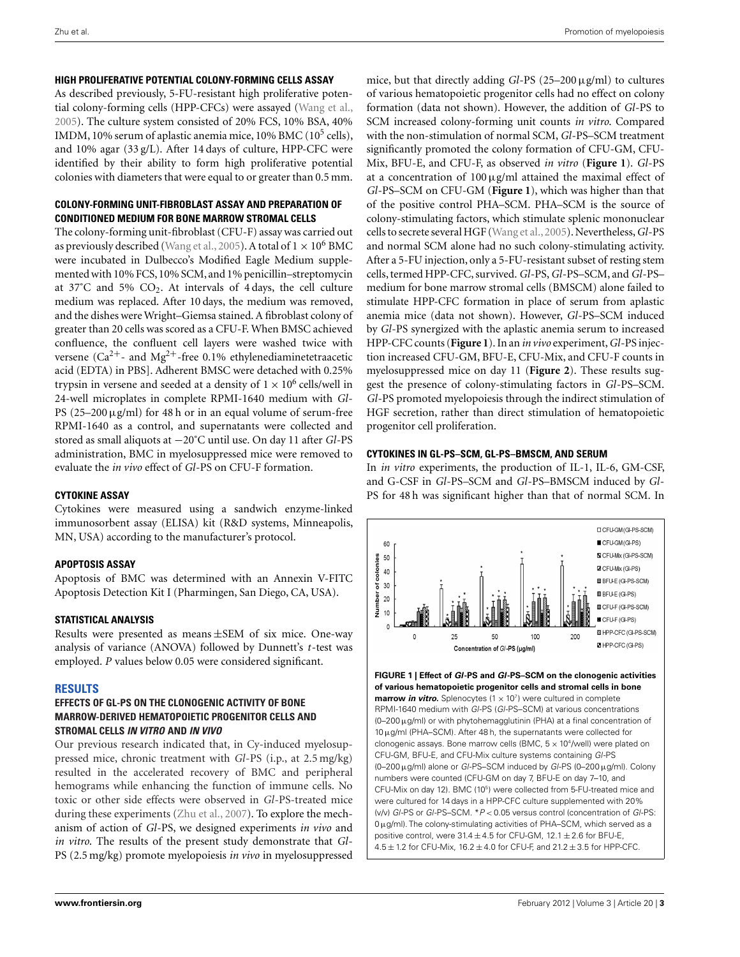## **HIGH PROLIFERATIVE POTENTIAL COLONY-FORMING CELLS ASSAY**

As described previously, 5-FU-resistant high proliferative potential colony-forming cells (HPP-CFCs) were assayed [\(Wang et al.,](#page-5-0) [2005\)](#page-5-0). The culture system consisted of 20% FCS, 10% BSA, 40% IMDM, 10% serum of aplastic anemia mice, 10% BMC ( $10^5$  cells), and 10% agar (33 g/L). After 14 days of culture, HPP-CFC were identified by their ability to form high proliferative potential colonies with diameters that were equal to or greater than 0.5 mm.

# **COLONY-FORMING UNIT-FIBROBLAST ASSAY AND PREPARATION OF CONDITIONED MEDIUM FOR BONE MARROW STROMAL CELLS**

The colony-forming unit-fibroblast (CFU-F) assay was carried out as previously described [\(Wang et al.](#page-5-0), [2005\)](#page-5-0). A total of  $1 \times 10^6$  BMC were incubated in Dulbecco's Modified Eagle Medium supplemented with 10% FCS,10% SCM, and 1% penicillin–streptomycin at  $37^{\circ}$ C and  $5\%$  CO<sub>2</sub>. At intervals of 4 days, the cell culture medium was replaced. After 10 days, the medium was removed, and the dishes were Wright–Giemsa stained. A fibroblast colony of greater than 20 cells was scored as a CFU-F. When BMSC achieved confluence, the confluent cell layers were washed twice with versene ( $Ca^{2+}$ - and Mg<sup>2+</sup>-free 0.1% ethylenediaminetetraacetic acid (EDTA) in PBS]. Adherent BMSC were detached with 0.25% trypsin in versene and seeded at a density of  $1 \times 10^6$  cells/well in 24-well microplates in complete RPMI-1640 medium with *Gl*-PS  $(25-200 \,\mu\text{g/ml})$  for 48 h or in an equal volume of serum-free RPMI-1640 as a control, and supernatants were collected and stored as small aliquots at −20˚C until use. On day 11 after *Gl*-PS administration, BMC in myelosuppressed mice were removed to evaluate the *in vivo* effect of *Gl*-PS on CFU-F formation.

## **CYTOKINE ASSAY**

Cytokines were measured using a sandwich enzyme-linked immunosorbent assay (ELISA) kit (R&D systems, Minneapolis, MN, USA) according to the manufacturer's protocol.

# **APOPTOSIS ASSAY**

Apoptosis of BMC was determined with an Annexin V-FITC Apoptosis Detection Kit I (Pharmingen, San Diego, CA, USA).

# **STATISTICAL ANALYSIS**

Results were presented as means ±SEM of six mice. One-way analysis of variance (ANOVA) followed by Dunnett's *t*-test was employed. *P* values below 0.05 were considered significant.

# **RESULTS**

## **EFFECTS OF GL-PS ON THE CLONOGENIC ACTIVITY OF BONE MARROW-DERIVED HEMATOPOIETIC PROGENITOR CELLS AND STROMAL CELLS** *IN VITRO* **AND** *IN VIVO*

Our previous research indicated that, in Cy-induced myelosuppressed mice, chronic treatment with *Gl*-PS (i.p., at 2.5 mg/kg) resulted in the accelerated recovery of BMC and peripheral hemograms while enhancing the function of immune cells. No toxic or other side effects were observed in *Gl*-PS-treated mice during these experiments [\(Zhu et al.](#page-6-0), [2007](#page-6-0)). To explore the mechanism of action of *Gl*-PS, we designed experiments *in vivo* and *in vitro*. The results of the present study demonstrate that *Gl*-PS (2.5 mg/kg) promote myelopoiesis *in vivo* in myelosuppressed

mice, but that directly adding *Gl*-PS (25–200μg/ml) to cultures of various hematopoietic progenitor cells had no effect on colony formation (data not shown). However, the addition of *Gl*-PS to SCM increased colony-forming unit counts *in vitro*. Compared with the non-stimulation of normal SCM, *Gl*-PS–SCM treatment significantly promoted the colony formation of CFU-GM, CFU-Mix, BFU-E, and CFU-F, as observed *in vitro* (**Figure 1**). *Gl*-PS at a concentration of  $100 \mu$ g/ml attained the maximal effect of *Gl*-PS–SCM on CFU-GM (**Figure 1**), which was higher than that of the positive control PHA–SCM. PHA–SCM is the source of colony-stimulating factors, which stimulate splenic mononuclear cells to secrete several HGF [\(Wang et al.](#page-5-0),[2005\)](#page-5-0). Nevertheless,*Gl*-PS and normal SCM alone had no such colony-stimulating activity. After a 5-FU injection, only a 5-FU-resistant subset of resting stem cells, termed HPP-CFC, survived. *Gl*-PS,*Gl*-PS–SCM, and *Gl*-PS– medium for bone marrow stromal cells (BMSCM) alone failed to stimulate HPP-CFC formation in place of serum from aplastic anemia mice (data not shown). However, *Gl*-PS–SCM induced by *Gl*-PS synergized with the aplastic anemia serum to increased HPP-CFC counts (**Figure 1**). In an *in vivo* experiment,*Gl*-PS injection increased CFU-GM, BFU-E, CFU-Mix, and CFU-F counts in myelosuppressed mice on day 11 (**[Figure 2](#page-3-0)**). These results suggest the presence of colony-stimulating factors in *Gl*-PS–SCM. *Gl*-PS promoted myelopoiesis through the indirect stimulation of HGF secretion, rather than direct stimulation of hematopoietic progenitor cell proliferation.

# **CYTOKINES IN GL-PS–SCM, GL-PS–BMSCM, AND SERUM**

In *in vitro* experiments, the production of IL-1, IL-6, GM-CSF, and G-CSF in *Gl*-PS*–*SCM and *Gl*-PS–BMSCM induced by *Gl*-PS for 48 h was significant higher than that of normal SCM. In

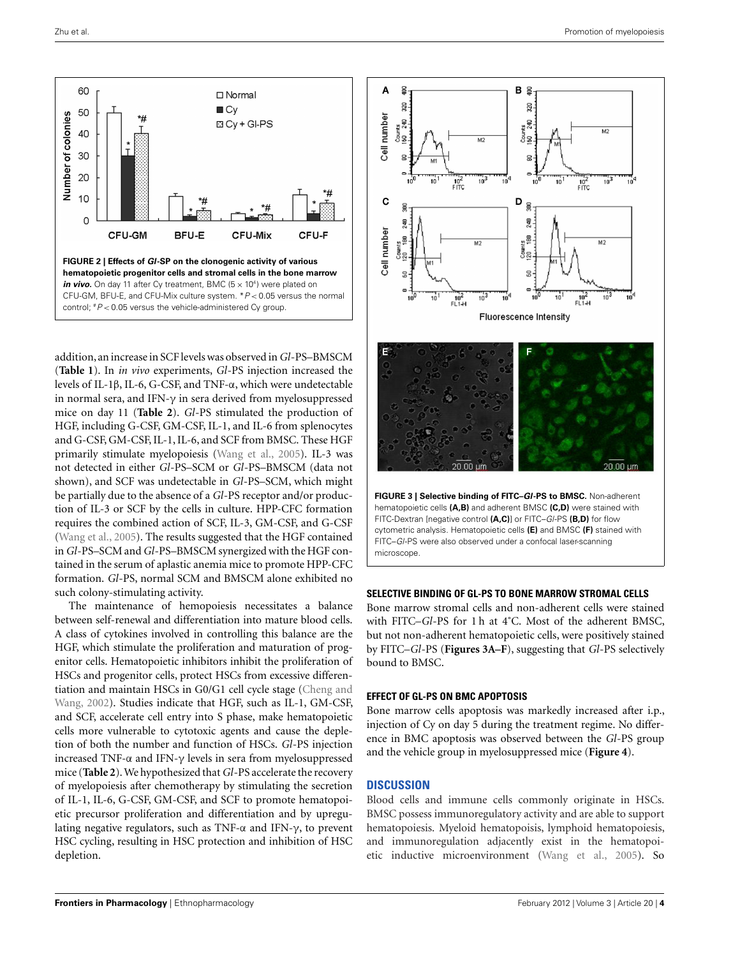<span id="page-3-0"></span>

addition, an increase in SCF levels was observed in*Gl*-PS–BMSCM (**[Table 1](#page-4-0)**). In *in vivo* experiments, *Gl*-PS injection increased the levels of IL-1β, IL-6, G-CSF, and TNF-α, which were undetectable in normal sera, and IFN- $\gamma$  in sera derived from myelosuppressed mice on day 11 (**[Table 2](#page-4-0)**). *Gl*-PS stimulated the production of HGF, including G-CSF, GM-CSF, IL-1, and IL-6 from splenocytes and G-CSF, GM-CSF, IL-1, IL-6, and SCF from BMSC. These HGF primarily stimulate myelopoiesis [\(Wang et al.](#page-5-0), [2005](#page-5-0)). IL-3 was not detected in either *Gl*-PS–SCM or *Gl*-PS–BMSCM (data not shown), and SCF was undetectable in *Gl*-PS–SCM, which might be partially due to the absence of a *Gl*-PS receptor and/or production of IL-3 or SCF by the cells in culture. HPP-CFC formation requires the combined action of SCF, IL-3, GM-CSF, and G-CSF [\(Wang et al.](#page-5-0), [2005\)](#page-5-0). The results suggested that the HGF contained in*Gl*-PS–SCM and*Gl*-PS–BMSCM synergized with the HGF contained in the serum of aplastic anemia mice to promote HPP-CFC formation. *Gl*-PS, normal SCM and BMSCM alone exhibited no such colony-stimulating activity.

The maintenance of hemopoiesis necessitates a balance between self-renewal and differentiation into mature blood cells. A class of cytokines involved in controlling this balance are the HGF, which stimulate the proliferation and maturation of progenitor cells. Hematopoietic inhibitors inhibit the proliferation of HSCs and progenitor cells, protect HSCs from excessive differentiatio[n and maintain HSCs in G0/G1 cell cycle stage \(](#page-5-0)Cheng and Wang, [2002](#page-5-0)). Studies indicate that HGF, such as IL-1, GM-CSF, and SCF, accelerate cell entry into S phase, make hematopoietic cells more vulnerable to cytotoxic agents and cause the depletion of both the number and function of HSCs. *Gl*-PS injection increased TNF-α and IFN-γ levels in sera from myelosuppressed mice (**[Table 2](#page-4-0)**).We hypothesized that*Gl*-PS accelerate the recovery of myelopoiesis after chemotherapy by stimulating the secretion of IL-1, IL-6, G-CSF, GM-CSF, and SCF to promote hematopoietic precursor proliferation and differentiation and by upregulating negative regulators, such as TNF- $\alpha$  and IFN- $\gamma$ , to prevent HSC cycling, resulting in HSC protection and inhibition of HSC depletion.



#### **SELECTIVE BINDING OF GL-PS TO BONE MARROW STROMAL CELLS**

Bone marrow stromal cells and non-adherent cells were stained with FITC–*Gl*-PS for 1 h at 4˚C. Most of the adherent BMSC, but not non-adherent hematopoietic cells, were positively stained by FITC–*Gl*-PS (**Figures 3A–F**), suggesting that *Gl*-PS selectively bound to BMSC.

#### **EFFECT OF GL-PS ON BMC APOPTOSIS**

Bone marrow cells apoptosis was markedly increased after i.p., injection of Cy on day 5 during the treatment regime. No difference in BMC apoptosis was observed between the *Gl*-PS group and the vehicle group in myelosuppressed mice (**[Figure 4](#page-4-0)**).

## **DISCUSSION**

Blood cells and immune cells commonly originate in HSCs. BMSC possess immunoregulatory activity and are able to support hematopoiesis. Myeloid hematopoisis, lymphoid hematopoiesis, and immunoregulation adjacently exist in the hematopoietic inductive microenvironment [\(Wang et al.](#page-5-0), [2005\)](#page-5-0). So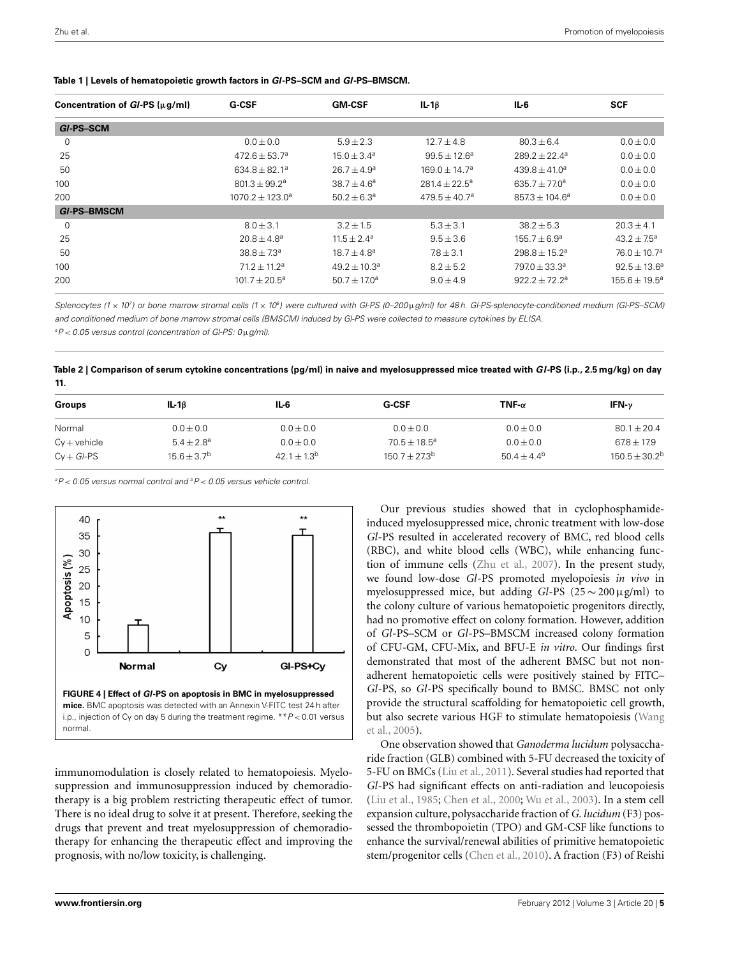| Concentration of $GI-PS$ ( $\mu$ g/ml) | <b>G-CSF</b>             | <b>GM-CSF</b>          | $IL-1\beta$        | IL-6                          | <b>SCF</b>         |
|----------------------------------------|--------------------------|------------------------|--------------------|-------------------------------|--------------------|
| GI-PS-SCM                              |                          |                        |                    |                               |                    |
| 0                                      | $0.0 \pm 0.0$            | $5.9 \pm 2.3$          | $12.7 \pm 4.8$     | $80.3 \pm 6.4$                | $0.0 \pm 0.0$      |
| 25                                     | $472.6 \pm 53.7^a$       | $15.0 \pm 3.4^a$       | $99.5 + 12.6^a$    | $289.2 + 22.4^a$              | $0.0 \pm 0.0$      |
| 50                                     | $634.8 + 82.1^a$         | $26.7 + 4.9a$          | $169.0 + 14.7a$    | $439.8 + 41.0a$               | $0.0 \pm 0.0$      |
| 100                                    | $801.3 \pm 99.2^{\circ}$ | $38.7 + 4.6^a$         | $281.4 + 22.5^a$   | 635.7 $\pm$ 77.0 <sup>a</sup> | $0.0 \pm 0.0$      |
| 200                                    | $1070.2 + 123.0^a$       | $50.2 \pm 6.3^{\circ}$ | $479.5 \pm 40.7^a$ | $857.3 \pm 104.6^a$           | $0.0 \pm 0.0$      |
| <b>GI-PS-BMSCM</b>                     |                          |                        |                    |                               |                    |
| $\mathbf 0$                            | $8.0 \pm 3.1$            | $3.2 \pm 1.5$          | $5.3 \pm 3.1$      | $38.2 \pm 5.3$                | $20.3 \pm 4.1$     |
| 25                                     | $20.8 + 4.8^a$           | $11.5 + 2.4^a$         | $9.5 \pm 3.6$      | $155.7 + 6.9^a$               | $43.2 + 7.5^a$     |
| 50                                     | $38.8 \pm 7.3^{\circ}$   | $18.7 \pm 4.8^a$       | $7.8 \pm 3.1$      | $298.8 \pm 15.2^a$            | $76.0 \pm 10.7^a$  |
| 100                                    | $71.2 + 11.2^a$          | $49.2 + 10.3^a$        | $8.2 \pm 5.2$      | $7970 + 33.3^{\circ}$         | $92.5 \pm 13.6^a$  |
| 200                                    | $101.7 \pm 20.5^a$       | $50.7 \pm 17.0^a$      | $9.0 \pm 4.9$      | $922.2 + 72.2^a$              | $155.6 \pm 19.5^a$ |
|                                        |                          |                        |                    |                               |                    |

<span id="page-4-0"></span>**Table 1 | Levels of hematopoietic growth factors in** *Gl***-PS–SCM and** *Gl***-PS–BMSCM.**

Splenocytes (1 x 10<sup>7</sup>) or bone marrow stromal cells (1 x 10<sup>6</sup>) were cultured with Gl-PS (0–200μg/ml) for 48 h. Gl-PS-splenocyte-conditioned medium (Gl-PS–SCM) and conditioned medium of bone marrow stromal cells (BMSCM) induced by Gl-PS were collected to measure cytokines by ELISA. a P < 0.05 versus control (concentration of Gl-PS: 0μg/ml).

**Table 2 | Comparison of serum cytokine concentrations (pg/ml) in naive and myelosuppressed mice treated with** *Gl***-PS (i.p., 2.5 mg/kg) on day 11.**

| <b>Groups</b>  | $IL-16$        | IL-6             | <b>G-CSF</b>     | TNF- $\alpha$    | IFN- $\nu$       |
|----------------|----------------|------------------|------------------|------------------|------------------|
| Normal         | $0.0 \pm 0.0$  | $0.0 \pm 0.0$    | $0.0 \pm 0.0$    | $0.0 \pm 0.0$    | $80.1 \pm 20.4$  |
| $Cy + vehicle$ | $5.4 + 2.8^a$  | $0.0 \pm 0.0$    | $70.5 + 18.5^a$  | $0.0 + 0.0$      | $67.8 + 17.9$    |
| $Cv + GI$ -PS  | $15.6 + 3.7^b$ | $42.1 + 1.3^{b}$ | $150.7 + 27.3^b$ | $50.4 + 4.4^{b}$ | $150.5 + 30.2^b$ |

 $\textsuperscript{a}$ P < 0.05 versus normal control and  $\textsuperscript{b}$ P < 0.05 versus vehicle control.



immunomodulation is closely related to hematopoiesis. Myelosuppression and immunosuppression induced by chemoradiotherapy is a big problem restricting therapeutic effect of tumor. There is no ideal drug to solve it at present. Therefore, seeking the drugs that prevent and treat myelosuppression of chemoradiotherapy for enhancing the therapeutic effect and improving the prognosis, with no/low toxicity, is challenging.

Our previous studies showed that in cyclophosphamideinduced myelosuppressed mice, chronic treatment with low-dose *Gl*-PS resulted in accelerated recovery of BMC, red blood cells (RBC), and white blood cells (WBC), while enhancing function of immune cells [\(Zhu et al.](#page-6-0), [2007](#page-6-0)). In the present study, we found low-dose *Gl*-PS promoted myelopoiesis *in vivo* in myelosuppressed mice, but adding *Gl*-PS (25 <sup>∼</sup> <sup>200</sup>μg/ml) to the colony culture of various hematopoietic progenitors directly, had no promotive effect on colony formation. However, addition of *Gl*-PS–SCM or *Gl*-PS–BMSCM increased colony formation of CFU-GM, CFU-Mix, and BFU-E *in vitro*. Our findings first demonstrated that most of the adherent BMSC but not nonadherent hematopoietic cells were positively stained by FITC– *Gl*-PS, so *Gl*-PS specifically bound to BMSC. BMSC not only provide the structural scaffolding for hematopoietic cell growth, but [also secrete various HGF to stimulate hematopoiesis \(](#page-5-0)Wang et al., [2005\)](#page-5-0).

One observation showed that *Ganoderma lucidum* polysaccharide fraction (GLB) combined with 5-FU decreased the toxicity of 5-FU on BMCs [\(Liu et al., 2011\)](#page-5-0). Several studies had reported that *Gl*-PS had significant effects on anti-radiation and leucopoiesis [\(Liu et al.](#page-5-0), [1985;](#page-5-0) [Chen et al.](#page-5-0), [2000;](#page-5-0) [Wu et al., 2003](#page-5-0)). In a stem cell expansion culture, polysaccharide fraction of *G. lucidum* (F3) possessed the thrombopoietin (TPO) and GM-CSF like functions to enhance the survival/renewal abilities of primitive hematopoietic stem/progenitor cells [\(Chen et al.](#page-5-0), [2010\)](#page-5-0). A fraction (F3) of Reishi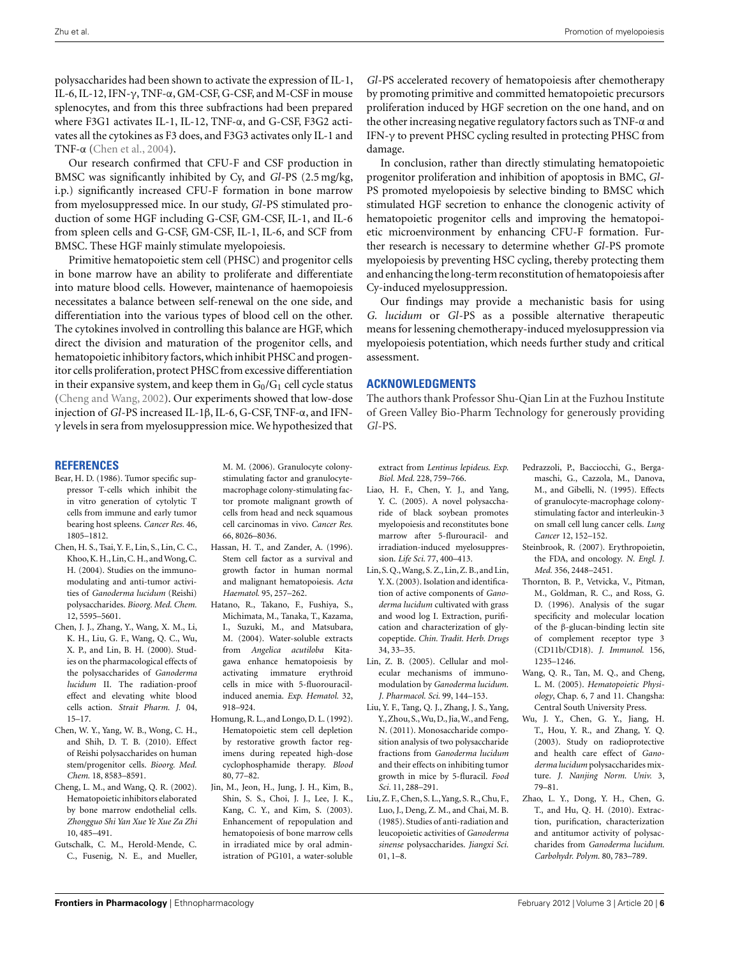<span id="page-5-0"></span>polysaccharides had been shown to activate the expression of IL-1, IL-6, IL-12, IFN- $\gamma$ , TNF- $\alpha$ , GM-CSF, G-CSF, and M-CSF in mouse splenocytes, and from this three subfractions had been prepared where F3G1 activates IL-1, IL-12, TNF-α, and G-CSF, F3G2 activates all the cytokines as F3 does, and F3G3 activates only IL-1 and TNF-α (Chen et al., 2004).

Our research confirmed that CFU-F and CSF production in BMSC was significantly inhibited by Cy, and *Gl*-PS (2.5 mg/kg, i.p.) significantly increased CFU-F formation in bone marrow from myelosuppressed mice. In our study, *Gl*-PS stimulated production of some HGF including G-CSF, GM-CSF, IL-1, and IL-6 from spleen cells and G-CSF, GM-CSF, IL-1, IL-6, and SCF from BMSC. These HGF mainly stimulate myelopoiesis.

Primitive hematopoietic stem cell (PHSC) and progenitor cells in bone marrow have an ability to proliferate and differentiate into mature blood cells. However, maintenance of haemopoiesis necessitates a balance between self-renewal on the one side, and differentiation into the various types of blood cell on the other. The cytokines involved in controlling this balance are HGF, which direct the division and maturation of the progenitor cells, and hematopoietic inhibitory factors,which inhibit PHSC and progenitor cells proliferation, protect PHSC from excessive differentiation in their expansive system, and keep them in  $G_0/G_1$  cell cycle status (Cheng and Wang, 2002). Our experiments showed that low-dose injection of *Gl*-PS increased IL-1β, IL-6, G-CSF, TNF-α, and IFN- $\gamma$  levels in sera from myelosuppression mice. We hypothesized that

*Gl*-PS accelerated recovery of hematopoiesis after chemotherapy by promoting primitive and committed hematopoietic precursors proliferation induced by HGF secretion on the one hand, and on the other increasing negative regulatory factors such as TNF-α and IFN-γ to prevent PHSC cycling resulted in protecting PHSC from damage.

In conclusion, rather than directly stimulating hematopoietic progenitor proliferation and inhibition of apoptosis in BMC, *Gl*-PS promoted myelopoiesis by selective binding to BMSC which stimulated HGF secretion to enhance the clonogenic activity of hematopoietic progenitor cells and improving the hematopoietic microenvironment by enhancing CFU-F formation. Further research is necessary to determine whether *Gl*-PS promote myelopoiesis by preventing HSC cycling, thereby protecting them and enhancing the long-term reconstitution of hematopoiesis after Cy-induced myelosuppression.

Our findings may provide a mechanistic basis for using *G. lucidum* or *Gl*-PS as a possible alternative therapeutic means for lessening chemotherapy-induced myelosuppression via myelopoiesis potentiation, which needs further study and critical assessment.

### **ACKNOWLEDGMENTS**

The authors thank Professor Shu-Qian Lin at the Fuzhou Institute of Green Valley Bio-Pharm Technology for generously providing *Gl*-PS.

#### **REFERENCES**

- Bear, H. D. (1986). Tumor specific suppressor T-cells which inhibit the in vitro generation of cytolytic T cells from immune and early tumor bearing host spleens. *Cancer Res.* 46, 1805–1812.
- Chen, H. S., Tsai, Y. F., Lin, S., Lin, C. C., Khoo, K. H., Lin, C. H., and Wong, C. H. (2004). Studies on the immunomodulating and anti-tumor activities of *Ganoderma lucidum* (Reishi) polysaccharides. *Bioorg. Med. Chem.* 12, 5595–5601.
- Chen, J. J., Zhang, Y., Wang, X. M., Li, K. H., Liu, G. F., Wang, Q. C., Wu, X. P., and Lin, B. H. (2000). Studies on the pharmacological effects of the polysaccharides of *Ganoderma lucidum* II. The radiation-proof effect and elevating white blood cells action. *Strait Pharm. J.* 04, 15–17.
- Chen, W. Y., Yang, W. B., Wong, C. H., and Shih, D. T. B. (2010). Effect of Reishi polysaccharides on human stem/progenitor cells. *Bioorg. Med. Chem.* 18, 8583–8591.
- Cheng, L. M., and Wang, Q. R. (2002). Hematopoietic inhibitors elaborated by bone marrow endothelial cells. *Zhongguo Shi Yan Xue Ye Xue Za Zhi* 10, 485–491.
- Gutschalk, C. M., Herold-Mende, C. C., Fusenig, N. E., and Mueller,

M. M. (2006). Granulocyte colonystimulating factor and granulocytemacrophage colony-stimulating factor promote malignant growth of cells from head and neck squamous cell carcinomas in vivo. *Cancer Res.* 66, 8026–8036.

- Hassan, H. T., and Zander, A. (1996). Stem cell factor as a survival and growth factor in human normal and malignant hematopoiesis. *Acta Haematol.* 95, 257–262.
- Hatano, R., Takano, F., Fushiya, S., Michimata, M., Tanaka, T., Kazama, I., Suzuki, M., and Matsubara, M. (2004). Water-soluble extracts from *Angelica acutiloba* Kitagawa enhance hematopoiesis by activating immature erythroid cells in mice with 5-fluorouracilinduced anemia. *Exp. Hematol.* 32, 918–924.
- Homung, R. L., and Longo, D. L. (1992). Hematopoietic stem cell depletion by restorative growth factor regimens during repeated high-dose cyclophosphamide therapy. *Blood* 80, 77–82.
- Jin, M., Jeon, H., Jung, J. H., Kim, B., Shin, S. S., Choi, J. J., Lee, J. K., Kang, C. Y., and Kim, S. (2003). Enhancement of repopulation and hematopoiesis of bone marrow cells in irradiated mice by oral administration of PG101, a water-soluble

extract from *Lentinus lepideus*. *Exp. Biol. Med.* 228, 759–766.

- Liao, H. F., Chen, Y. J., and Yang, Y. C. (2005). A novel polysaccharide of black soybean promotes myelopoiesis and reconstitutes bone marrow after 5-flurouracil- and irradiation-induced myelosuppression. *Life Sci.* 77, 400–413.
- Lin, S. Q.,Wang, S. Z., Lin, Z. B., and Lin, Y. X. (2003). Isolation and identification of active components of *Ganoderma lucidum* cultivated with grass and wood log I. Extraction, purification and characterization of glycopeptide. *Chin. Tradit. Herb. Drugs* 34, 33–35.
- Lin, Z. B. (2005). Cellular and molecular mechanisms of immunomodulation by *Ganoderma lucidum*. *J. Pharmacol. Sci.* 99, 144–153.
- Liu, Y. F., Tang, Q. J., Zhang, J. S., Yang, Y., Zhou, S.,Wu, D., Jia,W., and Feng, N. (2011). Monosaccharide composition analysis of two polysaccharide fractions from *Ganoderma lucidum* and their effects on inhibiting tumor growth in mice by 5-fluracil. *Food Sci.* 11, 288–291.
- Liu, Z. F., Chen, S. L.,Yang, S. R., Chu, F., Luo, J., Deng, Z. M., and Chai, M. B. (1985). Studies of anti-radiation and leucopoietic activities of *Ganoderma sinense* polysaccharides. *Jiangxi Sci.* 01, 1–8.
- Pedrazzoli, P., Bacciocchi, G., Bergamaschi, G., Cazzola, M., Danova, M., and Gibelli, N. (1995). Effects of granulocyte-macrophage colonystimulating factor and interleukin-3 on small cell lung cancer cells. *Lung Cancer* 12, 152–152.
- Steinbrook, R. (2007). Erythropoietin, the FDA, and oncology. *N. Engl. J. Med.* 356, 2448–2451.
- Thornton, B. P., Vetvicka, V., Pitman, M., Goldman, R. C., and Ross, G. D. (1996). Analysis of the sugar specificity and molecular location of the β-glucan-binding lectin site of complement receptor type 3 (CD11b/CD18). *J. Immunol.* 156, 1235–1246.
- Wang, Q. R., Tan, M. Q., and Cheng, L. M. (2005). *Hematopoietic Physiology*, Chap. 6, 7 and 11. Changsha: Central South University Press.
- Wu, J. Y., Chen, G. Y., Jiang, H. T., Hou, Y. R., and Zhang, Y. Q. (2003). Study on radioprotective and health care effect of *Ganoderma lucidum* polysaccharides mixture. *J. Nanjing Norm. Univ.* 3, 79–81.
- Zhao, L. Y., Dong, Y. H., Chen, G. T., and Hu, Q. H. (2010). Extraction, purification, characterization and antitumor activity of polysaccharides from *Ganoderma lucidum*. *Carbohydr. Polym.* 80, 783–789.